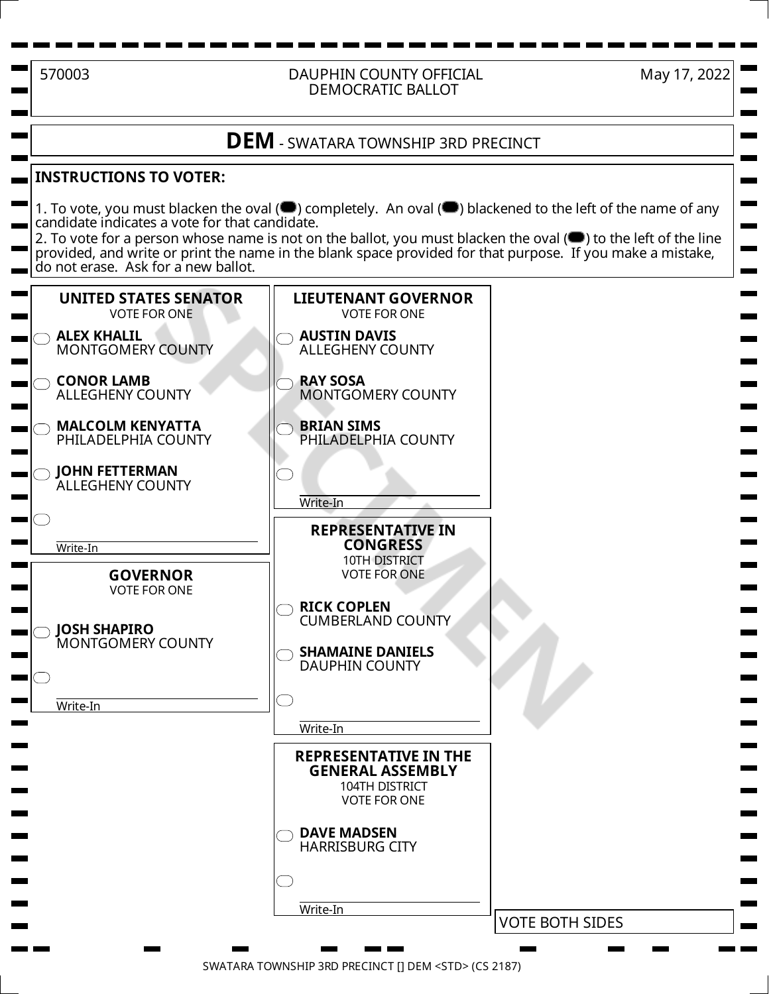## 570003 DAUPHIN COUNTY OFFICIAL DEMOCRATIC BALLOT

May 17, 2022

## **DEM** - SWATARA TOWNSHIP 3RD PRECINCT

## **INSTRUCTIONS TO VOTER:**

1. To vote, you must blacken the oval ( $\blacksquare$ ) completely. An oval ( $\blacksquare$ ) blackened to the left of the name of any candidate indicates a vote for that candidate.

2. To vote for a person whose name is not on the ballot, you must blacken the oval ( $\blacksquare$ ) to the left of the line provided, and write or print the name in the blank space provided for that purpose. If you make a mistake, do not erase. Ask for a new ballot.

| <b>UNITED STATES SENATOR</b><br><b>VOTE FOR ONE</b> | <b>LIEUTENANT GOVERNOR</b><br><b>VOTE FOR ONE</b>                                                  |                        |
|-----------------------------------------------------|----------------------------------------------------------------------------------------------------|------------------------|
| ALEX KHALIL<br><b>MONTGOMERY COUNTY</b>             | <b>AUSTIN DAVIS</b><br><b>ALLEGHENY COUNTY</b>                                                     |                        |
| $\supset$ CONOR LAMB<br><b>ALLEGHENY COUNTY</b>     | <b>RAY SOSA</b><br><b>MONTGOMERY COUNTY</b>                                                        |                        |
| O MALCOLM KENYATTA<br>PHILADELPHIA COUNTY           | <b>BRIAN SIMS</b><br>PHILADELPHIA COUNTY                                                           |                        |
| $\bigcirc$ JOHN FETTERMAN<br>ALLEGHENY COUNTY       |                                                                                                    |                        |
|                                                     | Write-In                                                                                           |                        |
| ◯<br>Write-In                                       | <b>REPRESENTATIVE IN</b><br><b>CONGRESS</b>                                                        |                        |
|                                                     | 10TH DISTRICT                                                                                      |                        |
| <b>GOVERNOR</b><br><b>VOTE FOR ONE</b>              | <b>VOTE FOR ONE</b>                                                                                |                        |
| $\bigcirc$ JOSH SHAPIRO<br>MONTGOMERY COUNTY<br>( ) | <b>RICK COPLEN</b><br><b>CUMBERLAND COUNTY</b><br><b>SHAMAINE DANIELS</b><br><b>DAUPHIN COUNTY</b> |                        |
| Write-In                                            |                                                                                                    |                        |
|                                                     | Write-In                                                                                           |                        |
|                                                     | <b>REPRESENTATIVE IN THE</b><br><b>GENERAL ASSEMBLY</b><br>104TH DISTRICT<br><b>VOTE FOR ONE</b>   |                        |
|                                                     | <b>DAVE MADSEN</b><br><b>HARRISBURG CITY</b>                                                       |                        |
|                                                     | Write-In                                                                                           |                        |
|                                                     |                                                                                                    | <b>VOTE BOTH SIDES</b> |
|                                                     |                                                                                                    |                        |